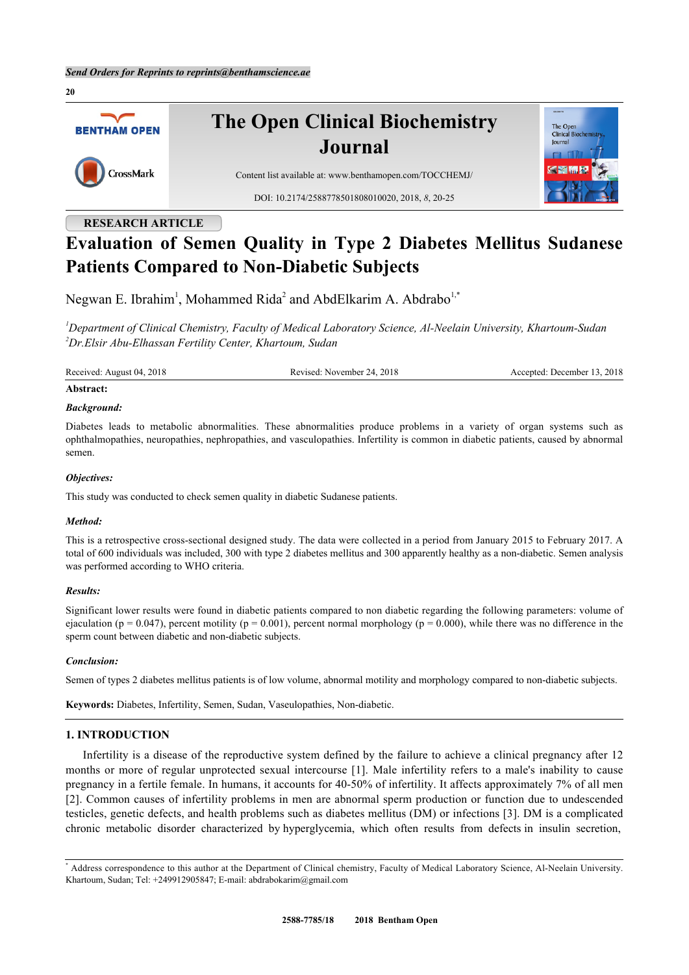

## **RESEARCH ARTICLE**

# **Evaluation of Semen Quality in Type 2 Diabetes Mellitus Sudanese Patients Compared to Non-Diabetic Subjects**

Negwan E. Ibrahim<sup>[1](#page-0-0)</sup>, Mohammed Rida<sup>[2](#page-0-1)</sup> and AbdElkarim A. Abdrabo<sup>[1,](#page-0-0)[\\*](#page-0-2)</sup>

<span id="page-0-1"></span><span id="page-0-0"></span>*<sup>1</sup>Department of Clinical Chemistry, Faculty of Medical Laboratory Science, Al-Neelain University, Khartoum-Sudan <sup>2</sup>Dr.Elsir Abu-Elhassan Fertility Center, Khartoum, Sudan*

Received: August 04, 2018 Revised: November 24, 2018 Accepted: December 13, 2018

#### **Abstract:**

#### *Background:*

Diabetes leads to metabolic abnormalities. These abnormalities produce problems in a variety of organ systems such as ophthalmopathies, neuropathies, nephropathies, and vasculopathies. Infertility is common in diabetic patients, caused by abnormal semen.

#### *Objectives:*

This study was conducted to check semen quality in diabetic Sudanese patients.

#### *Method:*

This is a retrospective cross-sectional designed study. The data were collected in a period from January 2015 to February 2017. A total of 600 individuals was included, 300 with type 2 diabetes mellitus and 300 apparently healthy as a non-diabetic. Semen analysis was performed according to WHO criteria.

#### *Results:*

Significant lower results were found in diabetic patients compared to non diabetic regarding the following parameters: volume of ejaculation (p = 0.047), percent motility (p = 0.001), percent normal morphology (p = 0.000), while there was no difference in the sperm count between diabetic and non-diabetic subjects.

#### *Conclusion:*

Semen of types 2 diabetes mellitus patients is of low volume, abnormal motility and morphology compared to non-diabetic subjects.

**Keywords:** Diabetes, Infertility, Semen, Sudan, Vaseulopathies, Non-diabetic.

## **1. INTRODUCTION**

Infertility is a disease of the reproductive system defined by the failure to achieve a clinical pregnancy after 12 months or more of regular unprotected sexual intercourse [\[1](#page-5-0)]. Male infertility refers to a male's inability to cause pregnancy in a fertile female. In humans, it accounts for 40-50% of infertility. It affects approximately 7% of all men [\[2](#page-5-1)]. Common causes of infertility problems in men are abnormal sperm production or function due to undescended testicles, genetic defects, and health problems such as diabetes mellitus (DM) or infections [\[3](#page-5-2)]. DM is a complicated chronic metabolic disorder characterized by hyperglycemia, which often results from defects in insulin secretion,

<span id="page-0-2"></span><sup>\*</sup> Address correspondence to this author at the Department of Clinical chemistry, Faculty of Medical Laboratory Science, Al-Neelain University. Khartoum, Sudan; Tel: +249912905847; E-mail: [abdrabokarim@gmail.com](mailto:abdrabokarim@gmail.com)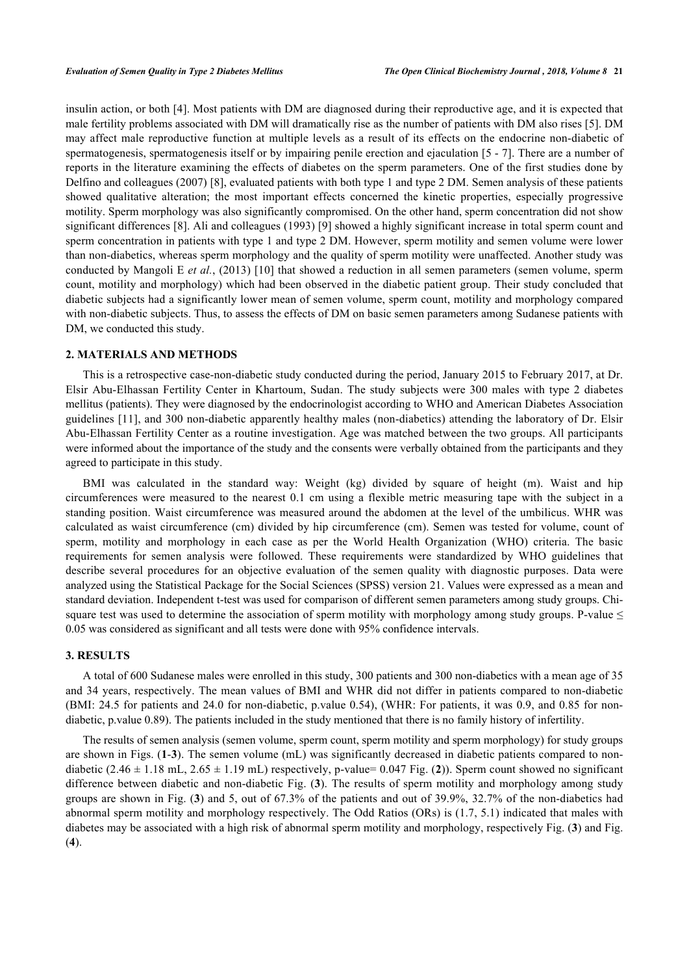insulin action, or both [[4](#page-5-3)]. Most patients with DM are diagnosed during their reproductive age, and it is expected that male fertility problems associated with DM will dramatically rise as the number of patients with DM also rises [[5](#page-5-4)]. DM may affect male reproductive function at multiple levels as a result of its effects on the endocrine non-diabetic of spermatogenesis, spermatogenesis itself or by impairing penile erection and ejaculation [[5](#page-5-4) - [7\]](#page-5-5). There are a number of reports in the literature examining the effects of diabetes on the sperm parameters. One of the first studies done by Delfino and colleagues (2007) [[8](#page-5-6)], evaluated patients with both type 1 and type 2 DM. Semen analysis of these patients showed qualitative alteration; the most important effects concerned the kinetic properties, especially progressive motility. Sperm morphology was also significantly compromised. On the other hand, sperm concentration did not show significant differences [\[8](#page-5-6)]. Ali and colleagues (1993) [\[9](#page-5-7)] showed a highly significant increase in total sperm count and sperm concentration in patients with type 1 and type 2 DM. However, sperm motility and semen volume were lower than non-diabetics, whereas sperm morphology and the quality of sperm motility were unaffected. Another study was conducted by Mangoli E *et al.*, (2013) [\[10\]](#page-5-8) that showed a reduction in all semen parameters (semen volume, sperm count, motility and morphology) which had been observed in the diabetic patient group. Their study concluded that diabetic subjects had a significantly lower mean of semen volume, sperm count, motility and morphology compared with non-diabetic subjects. Thus, to assess the effects of DM on basic semen parameters among Sudanese patients with DM, we conducted this study.

#### **2. MATERIALS AND METHODS**

This is a retrospective case-non-diabetic study conducted during the period, January 2015 to February 2017, at Dr. Elsir Abu-Elhassan Fertility Center in Khartoum, Sudan. The study subjects were 300 males with type 2 diabetes mellitus (patients). They were diagnosed by the endocrinologist according to WHO and American Diabetes Association guidelines [[11\]](#page-5-9), and 300 non-diabetic apparently healthy males (non-diabetics) attending the laboratory of Dr. Elsir Abu-Elhassan Fertility Center as a routine investigation. Age was matched between the two groups. All participants were informed about the importance of the study and the consents were verbally obtained from the participants and they agreed to participate in this study.

BMI was calculated in the standard way: Weight (kg) divided by square of height (m). Waist and hip circumferences were measured to the nearest 0.1 cm using a flexible metric measuring tape with the subject in a standing position. Waist circumference was measured around the abdomen at the level of the umbilicus. WHR was calculated as waist circumference (cm) divided by hip circumference (cm). Semen was tested for volume, count of sperm, motility and morphology in each case as per the World Health Organization (WHO) criteria. The basic requirements for semen analysis were followed. These requirements were standardized by WHO guidelines that describe several procedures for an objective evaluation of the semen quality with diagnostic purposes. Data were analyzed using the Statistical Package for the Social Sciences (SPSS) version 21. Values were expressed as a mean and standard deviation. Independent t-test was used for comparison of different semen parameters among study groups. Chisquare test was used to determine the association of sperm motility with morphology among study groups. P-value  $\leq$ 0.05 was considered as significant and all tests were done with 95% confidence intervals.

## **3. RESULTS**

A total of 600 Sudanese males were enrolled in this study, 300 patients and 300 non-diabetics with a mean age of 35 and 34 years, respectively. The mean values of BMI and WHR did not differ in patients compared to non-diabetic (BMI: 24.5 for patients and 24.0 for non-diabetic, p.value 0.54), (WHR: For patients, it was 0.9, and 0.85 for nondiabetic, p.value 0.89). The patients included in the study mentioned that there is no family history of infertility.

<span id="page-1-0"></span>The results of semen analysis (semen volume, sperm count, sperm motility and sperm morphology) for study groups are shown in Figs. (**[1](#page-1-0)**-**[3](#page-2-0)**). The semen volume (mL) was significantly decreased in diabetic patients compared to nondiabetic  $(2.46 \pm 1.18 \text{ mL}, 2.65 \pm 1.19 \text{ mL})$  $(2.46 \pm 1.18 \text{ mL}, 2.65 \pm 1.19 \text{ mL})$  $(2.46 \pm 1.18 \text{ mL}, 2.65 \pm 1.19 \text{ mL})$  respectively, p-value= 0.047 Fig. (2)). Sperm count showed no significant difference between diabetic and non-diabetic Fig. (**[3](#page-2-0)**). The results of sperm motility and morphology among study groups are shown in Fig. (**[3](#page-2-0)**) and 5, out of 67.3% of the patients and out of 39.9%, 32.7% of the non-diabetics had abnormal sperm motility and morphology respectively. The Odd Ratios (ORs) is (1.7, 5.1) indicated that males with diabetes may be associated with a high risk of abnormal sperm motility and morphology, respectively Fig. (**[3](#page-2-0)**) and Fig. (**[4](#page-3-0)**).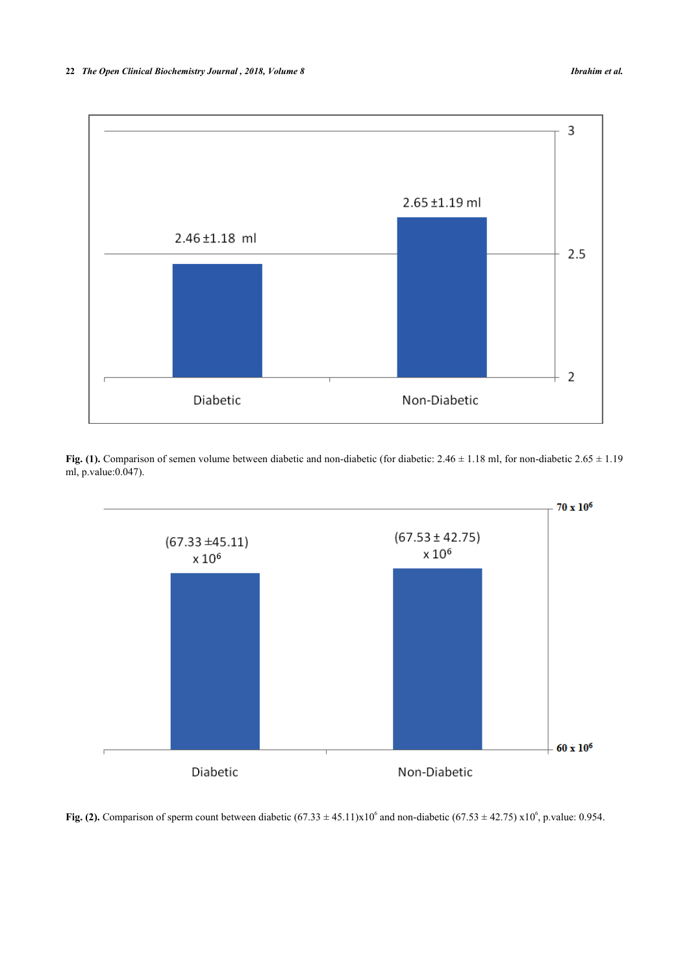

Fig. (1). Comparison of semen volume between diabetic and non-diabetic (for diabetic: 2.46  $\pm$  1.18 ml, for non-diabetic 2.65  $\pm$  1.19 ml, p.value:0.047).

<span id="page-2-1"></span>

<span id="page-2-0"></span>Fig. (2). Comparison of sperm count between diabetic  $(67.33 \pm 45.11)x10^6$  and non-diabetic  $(67.53 \pm 42.75)x10^6$ , p.value: 0.954.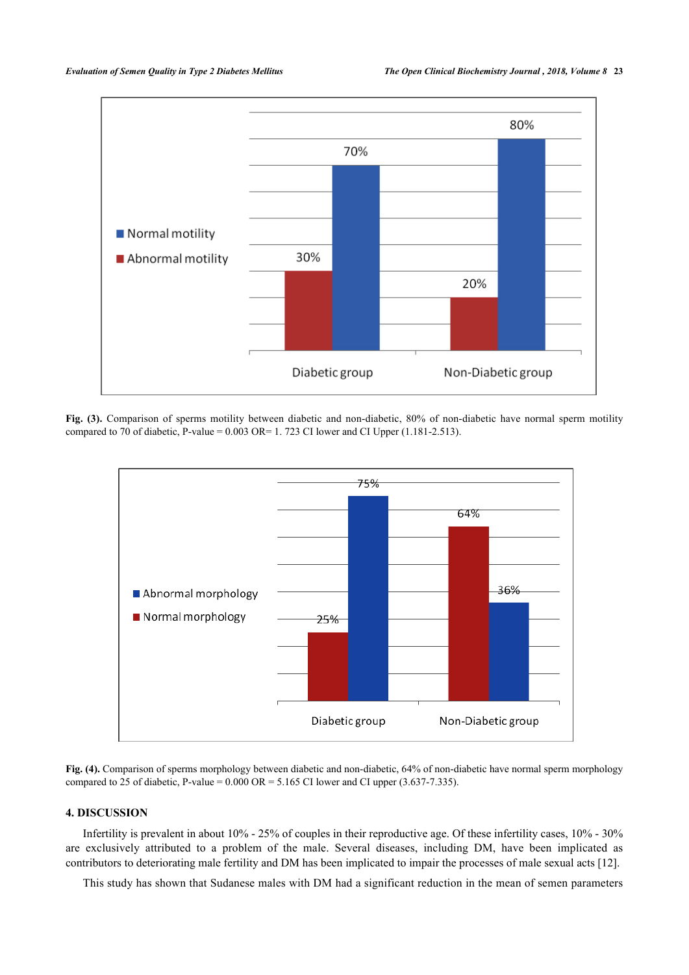

<span id="page-3-0"></span>**Fig. (3).** Comparison of sperms motility between diabetic and non-diabetic, 80% of non-diabetic have normal sperm motility compared to 70 of diabetic, P-value =  $0.003$  OR= 1. 723 CI lower and CI Upper (1.181-2.513).



**Fig. (4).** Comparison of sperms morphology between diabetic and non-diabetic, 64% of non-diabetic have normal sperm morphology compared to 25 of diabetic, P-value =  $0.000 \text{ OR} = 5.165 \text{ CI}$  lower and CI upper (3.637-7.335).

## **4. DISCUSSION**

Infertility is prevalent in about 10% - 25% of couples in their reproductive age. Of these infertility cases, 10% - 30% are exclusively attributed to a problem of the male. Several diseases, including DM, have been implicated as contributors to deteriorating male fertility and DM has been implicated to impair the processes of male sexual acts [[12\]](#page-5-10).

This study has shown that Sudanese males with DM had a significant reduction in the mean of semen parameters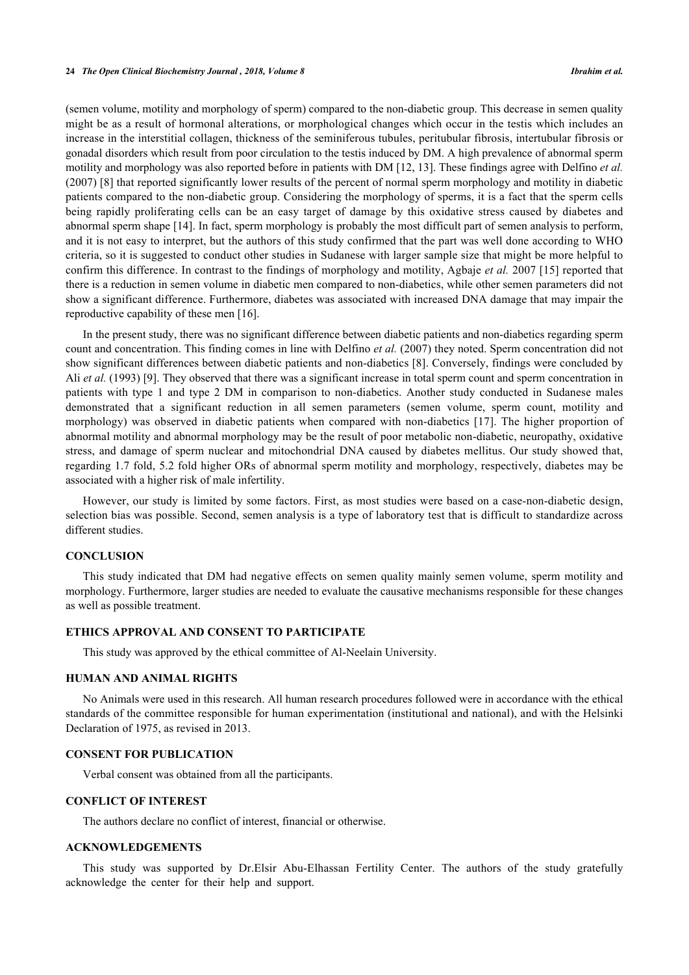(semen volume, motility and morphology of sperm) compared to the non-diabetic group. This decrease in semen quality might be as a result of hormonal alterations, or morphological changes which occur in the testis which includes an increase in the interstitial collagen, thickness of the seminiferous tubules, peritubular fibrosis, intertubular fibrosis or gonadal disorders which result from poor circulation to the testis induced by DM. A high prevalence of abnormal sperm motility and morphology was also reported before in patients with DM [[12](#page-5-10), [13](#page-5-11)]. These findings agree with Delfino *et al.* (2007) [[8\]](#page-5-6) that reported significantly lower results of the percent of normal sperm morphology and motility in diabetic patients compared to the non-diabetic group. Considering the morphology of sperms, it is a fact that the sperm cells being rapidly proliferating cells can be an easy target of damage by this oxidative stress caused by diabetes and abnormal sperm shape [\[14](#page-5-12)]. In fact, sperm morphology is probably the most difficult part of semen analysis to perform, and it is not easy to interpret, but the authors of this study confirmed that the part was well done according to WHO criteria, so it is suggested to conduct other studies in Sudanese with larger sample size that might be more helpful to confirm this difference. In contrast to the findings of morphology and motility, Agbaje *et al.* 2007 [[15\]](#page-5-13) reported that there is a reduction in semen volume in diabetic men compared to non-diabetics, while other semen parameters did not show a significant difference. Furthermore, diabetes was associated with increased DNA damage that may impair the reproductive capability of these men [[16\]](#page-5-14).

In the present study, there was no significant difference between diabetic patients and non-diabetics regarding sperm count and concentration. This finding comes in line with Delfino *et al.* (2007) they noted. Sperm concentration did not show significant differences between diabetic patients and non-diabetics [[8\]](#page-5-6). Conversely, findings were concluded by Ali *et al.* (1993) [\[9](#page-5-7)]. They observed that there was a significant increase in total sperm count and sperm concentration in patients with type 1 and type 2 DM in comparison to non-diabetics. Another study conducted in Sudanese males demonstrated that a significant reduction in all semen parameters (semen volume, sperm count, motility and morphology) was observed in diabetic patients when compared with non-diabetics[[17](#page-5-15)]. The higher proportion of abnormal motility and abnormal morphology may be the result of poor metabolic non-diabetic, neuropathy, oxidative stress, and damage of sperm nuclear and mitochondrial DNA caused by diabetes mellitus. Our study showed that, regarding 1.7 fold, 5.2 fold higher ORs of abnormal sperm motility and morphology, respectively, diabetes may be associated with a higher risk of male infertility.

However, our study is limited by some factors. First, as most studies were based on a case-non-diabetic design, selection bias was possible. Second, semen analysis is a type of laboratory test that is difficult to standardize across different studies.

## **CONCLUSION**

This study indicated that DM had negative effects on semen quality mainly semen volume, sperm motility and morphology. Furthermore, larger studies are needed to evaluate the causative mechanisms responsible for these changes as well as possible treatment.

## **ETHICS APPROVAL AND CONSENT TO PARTICIPATE**

This study was approved by the ethical committee of Al-Neelain University.

## **HUMAN AND ANIMAL RIGHTS**

No Animals were used in this research. All human research procedures followed were in accordance with the ethical standards of the committee responsible for human experimentation (institutional and national), and with the Helsinki Declaration of 1975, as revised in 2013.

## **CONSENT FOR PUBLICATION**

Verbal consent was obtained from all the participants.

#### **CONFLICT OF INTEREST**

The authors declare no conflict of interest, financial or otherwise.

#### **ACKNOWLEDGEMENTS**

This study was supported by Dr.Elsir Abu-Elhassan Fertility Center. The authors of the study gratefully acknowledge the center for their help and support.